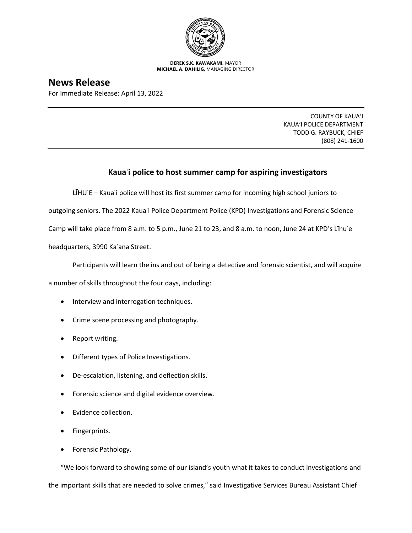

**DEREK S.K. KAWAKAMI,** MAYOR **MICHAEL A. DAHILIG,** MANAGING DIRECTOR

**News Release**

For Immediate Release: April 13, 2022

COUNTY OF KAUA'I KAUA'I POLICE DEPARTMENT TODD G. RAYBUCK, CHIEF (808) 241-1600

## **Kauaʿi police to host summer camp for aspiring investigators**

LĪHUʿE – Kauaʿi police will host its first summer camp for incoming high school juniors to outgoing seniors. The 2022 Kaua'i Police Department Police (KPD) Investigations and Forensic Science Camp will take place from 8 a.m. to 5 p.m., June 21 to 23, and 8 a.m. to noon, June 24 at KPD's Līhuʿe

headquarters, 3990 Kaʿana Street.

Participants will learn the ins and out of being a detective and forensic scientist, and will acquire

a number of skills throughout the four days, including:

- Interview and interrogation techniques.
- Crime scene processing and photography.
- Report writing.
- Different types of Police Investigations.
- De-escalation, listening, and deflection skills.
- Forensic science and digital evidence overview.
- Evidence collection.
- Fingerprints.
- Forensic Pathology.

"We look forward to showing some of our island's youth what it takes to conduct investigations and the important skills that are needed to solve crimes," said Investigative Services Bureau Assistant Chief